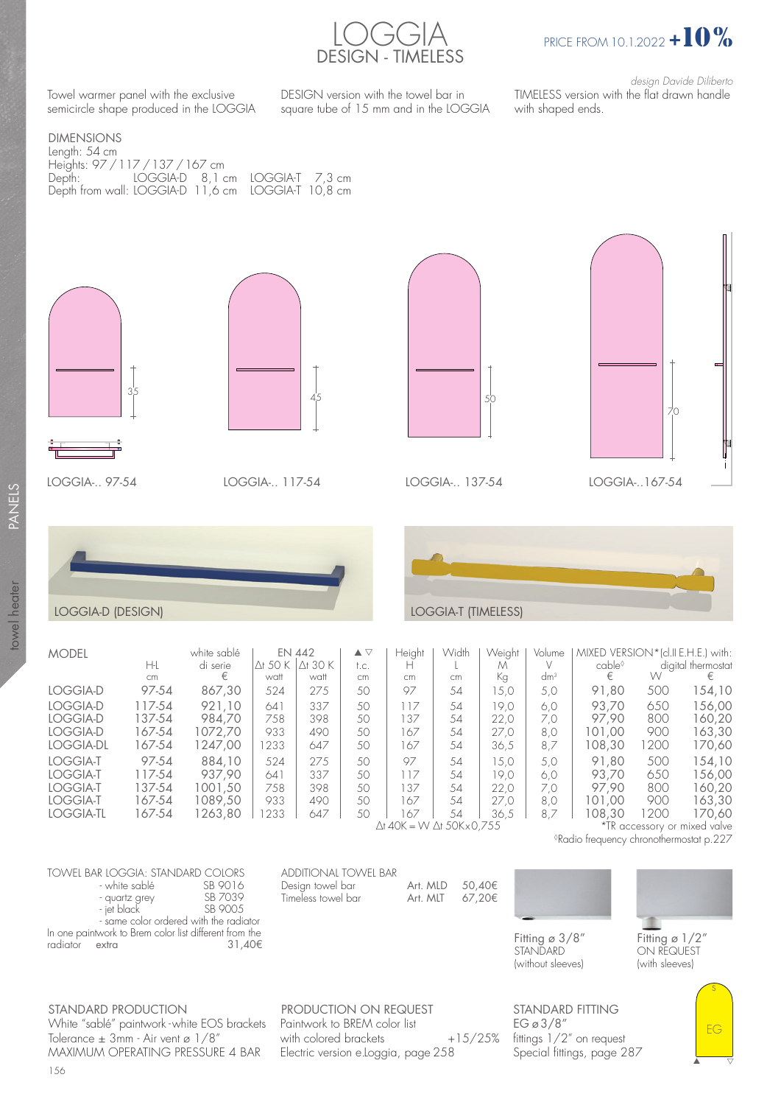



Towel warmer panel with the exclusive semicircle shape produced in the LOGGIA DESIGN version with the towel bar in square tube of 15 mm and in the LOGGIA

design Davide Diliberto TIMELESS version with the flat drawn handle with shaped ends.

## DIMENSIONS Length: 54 cm Heights: 97 / 117 / 137 / 167 cm Depth: LOGGIA-D 8,1 cm LOGGIA-T 7,3 cm Depth from wall: LOGGIA-D 11,6 cm LOGGIA-T 10,8 cm









ADDITIONAL TOWEL BAR

Timeless towel bar



| LOGGIA-D (DESIGN)                             |                                      |                                        |                           |                                   |                                              |                          |                      | <b>LOGGIA-T (TIMELESS)</b>   |                           |                                                               |                           |                                      |
|-----------------------------------------------|--------------------------------------|----------------------------------------|---------------------------|-----------------------------------|----------------------------------------------|--------------------------|----------------------|------------------------------|---------------------------|---------------------------------------------------------------|---------------------------|--------------------------------------|
|                                               |                                      |                                        |                           |                                   |                                              |                          |                      |                              |                           |                                                               |                           |                                      |
| MODEL                                         | H-L<br>cm                            | white sablé<br>di serie<br>€           | $\Delta$ t 50 K<br>watt   | EN 442<br>$\Delta$ t 30 K<br>watt | $\blacktriangle \triangledown$<br>t.c.<br>cm | Height<br>н<br>cm        | Width<br>cm          | Weight<br>М<br>Кg            | Volume<br>dm <sup>3</sup> | MIXED VERSION*(cl.II E.H.E.) with:<br>cable <sup>◊</sup><br>€ | W                         | digital thermostat<br>€              |
| LOGGIA-D                                      | 97-54                                | 867,30                                 | 524                       | 275                               | 50                                           | 97                       | 54                   | 15,0                         | 5,0                       | 91,80                                                         | 500                       | 154,10                               |
| LOGGIA-D<br>LOGGIA-D<br>LOGGIA-D<br>LOGGIA-DL | 117-54<br>137-54<br>167-54<br>167-54 | 921.10<br>984.70<br>1072.70<br>1247.00 | 641<br>758<br>933<br>1233 | 337<br>398<br>490<br>647          | 50<br>50<br>50<br>50                         | 117<br>137<br>167<br>167 | 54<br>54<br>54<br>54 | 19.0<br>22,0<br>27,0<br>36,5 | 6.0<br>7.0<br>8,0<br>8,7  | 93.70<br>97.90<br>101.00<br>108.30                            | 650<br>800<br>900<br>1200 | 156,00<br>160,20<br>163,30<br>170,60 |

| iviouel   |        | wrille saple |        | EIN 44Z         | ▲ ∨  | ⊓eigni    | <u>V V IGIN</u> | <i>v</i> veigni | volume | iviiaelu veroiviin |      | ICI.II E.H.E.J WIIN. |
|-----------|--------|--------------|--------|-----------------|------|-----------|-----------------|-----------------|--------|--------------------|------|----------------------|
|           | H-L    | di serie     | Ơ 50 K | $\Delta$ t 30 K | t.c. | н         |                 | М               |        | cable <sup>◊</sup> |      | digital thermostat   |
|           | cm     |              | watt   | watt            | cm   | <b>cm</b> | cm              | Кg              | $dm^3$ | €                  | W    | €                    |
| LOGGIA-D  | 97-54  | 867,30       | 524    | 275             | 50   | 97        | 54              | 5,0             | 5,0    | 91,80              | 500  | 154,10               |
| LOGGIA-D  | 117-54 | 921.10       | 641    | 337             | 50   | 117       | 54              | 19.0            | 6.0    | 93.70              | 650  | 156,00               |
| LOGGIA-D  | 137-54 | 984.70       | 758    | 398             | 50   | 137       | 54              | 22.0            | 7.0    | 97.90              | 800  | 160,20               |
| LOGGIA-D  | 167-54 | 1072.70      | 933    | 490             | 50   | 167       | 54              | 27,0            | 8,0    | 101.00             | 900  | 163,30               |
| LOGGIA-DL | 167-54 | 247,00       | 1233   | 647             | 50   | 167       | .54             | 36,5            | 8,7    | 108,30             | 1200 | 170,60               |
| LOGGIA-T  | 97-54  | 884.10       | 524    | 275             | 50   | 97        | 54              | 15.0            | 5.0    | 91.80              | 500  | 154,1C               |
| LOGGIA-T  | 117-54 | 937.90       | 641    | 337             | 50   | 117       | 54              | 19.0            | 6.0    | 93.70              | 650  | 156,00               |
| LOGGIA-T  | 137-54 | 1001.50      | 758    | 398             | 50   | 137       | 54              | 22.0            | 7.0    | 97.90              | 800  | 160,20               |
| LOGGIA-T  | 167-54 | 1089.50      | 933    | 490             | 50   | 167       | .54             | 27.0            | 8.0    | 101.00             | 900  | 163,30               |
| LOGGIA-TL | 167-54 | 263.80       | 233    | 647             | 50   | 167       | 54              | 36.5            | 8.7    | 108.30             | 200  | 170,60               |
|           |        |              |        |                 |      |           |                 |                 |        |                    |      |                      |

∆t 40K = W ∆t 50K x 0,755

\*TR accessory or mixed valve ◊Radio frequency chronothermostat p.227

| TOWFI BAR IOGGIA: STANDARD COIORS                      |          |  |  |  |  |  |  |  |
|--------------------------------------------------------|----------|--|--|--|--|--|--|--|
| - white sablé                                          | SB 9016  |  |  |  |  |  |  |  |
| - quartz grey                                          | SB 7039  |  |  |  |  |  |  |  |
| - jet black                                            | SB 900.5 |  |  |  |  |  |  |  |
| - same color ordered with the radiator                 |          |  |  |  |  |  |  |  |
| In one paintwork to Brem color list different from the |          |  |  |  |  |  |  |  |
| radiator extra                                         | 31.40€   |  |  |  |  |  |  |  |

radiator extra 31,40€

STANDARD PRODUCTION White "sablé" paintwork - white EOS brackets Tolerance  $\pm$  3mm - Air vent ø 1/8" MAXIMUM OPERATING PRESSURE 4 BAR

156

PRODUCTION ON REQUEST Paintwork to BREM color list with colored brackets  $+15/25%$ Electric version e.Loggia, page 258

Design towel bar Art. MLD  $50,40€$ <br>Timeless towel bar Art. MLT  $67,20€$ 



**STANDARD** (without sleeves) Fitting ø 1/2" ON REQUEST (with sleeves)

s

EG

 $\begin{array}{|c|c|c|}\n\hline\n\text{ } & \text{ } & \text{ } \end{array}$ 

STANDARD FITTING EG ø 3/8" fittings 1/2" on request Special fittings, page 287

PANELS towel heater PANELS